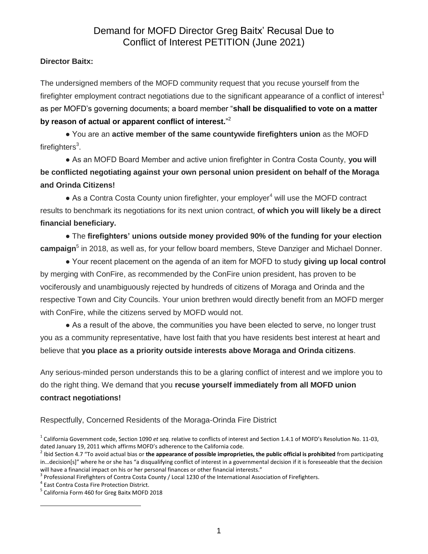## **Director Baitx:**

The undersigned members of the MOFD community request that you recuse yourself from the firefighter employment contract negotiations due to the significant appearance of a conflict of interest<sup>1</sup> as per MOFD's governing documents; a board member "**shall be disqualified to vote on a matter by reason of actual or apparent conflict of interest.**" 2

● You are an **active member of the same countywide firefighters union** as the MOFD firefighters<sup>3</sup>.

● As an MOFD Board Member and active union firefighter in Contra Costa County, **you will be conflicted negotiating against your own personal union president on behalf of the Moraga and Orinda Citizens!**

 $\bullet$  As a Contra Costa County union firefighter, your employer<sup>4</sup> will use the MOFD contract results to benchmark its negotiations for its next union contract, **of which you will likely be a direct financial beneficiary.**

● The **firefighters' unions outside money provided 90% of the funding for your election campaign**<sup>5</sup> in 2018, as well as, for your fellow board members, Steve Danziger and Michael Donner.

● Your recent placement on the agenda of an item for MOFD to study **giving up local control** by merging with ConFire, as recommended by the ConFire union president, has proven to be vociferously and unambiguously rejected by hundreds of citizens of Moraga and Orinda and the respective Town and City Councils. Your union brethren would directly benefit from an MOFD merger with ConFire, while the citizens served by MOFD would not.

• As a result of the above, the communities you have been elected to serve, no longer trust you as a community representative, have lost faith that you have residents best interest at heart and believe that **you place as a priority outside interests above Moraga and Orinda citizens**.

Any serious-minded person understands this to be a glaring conflict of interest and we implore you to do the right thing. We demand that you **recuse yourself immediately from all MOFD union contract negotiations!**

Respectfully, Concerned Residents of the Moraga-Orinda Fire District

 $\overline{a}$ 

<sup>&</sup>lt;sup>1</sup> California Government code, Section 1090 *et seq.* relative to conflicts of interest and Section 1.4.1 of MOFD's Resolution No. 11-03, dated January 19, 2011 which affirms MOFD's adherence to the California code.

<sup>2</sup> Ibid Section 4.7 "To avoid actual bias or **the appearance of possible improprieties, the public official is prohibited** from participating in…decision[s]" where he or she has "a disqualifying conflict of interest in a governmental decision if it is foreseeable that the decision will have a financial impact on his or her personal finances or other financial interests."

 $^3$  Professional Firefighters of Contra Costa County / Local 1230 of the International Association of Firefighters.

<sup>4</sup> East Contra Costa Fire Protection District.

<sup>5</sup> California Form 460 for Greg Baitx MOFD 2018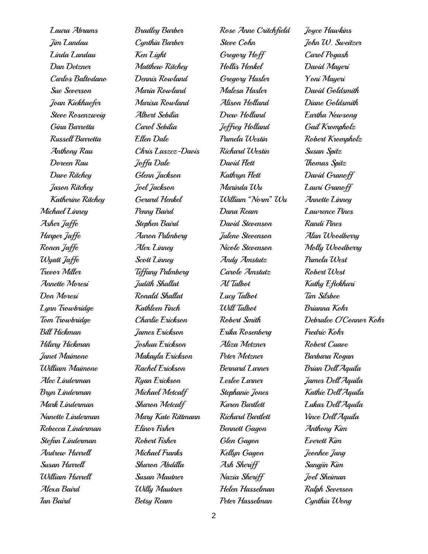Laura Abrams Jim Landau Linda Landau Dan Detzner Carlos Baltodano Sue Severson Joan Kiekhaefer Steve Rosenzweig Gina Barretta Russell Barretta Anthony Rau Doreen Rau Dave Ritchey Jason Ritchey Katherine Ritchey Michael Linney Asher Jaffe Harper Jaffe Ronen Jaffe Wyatt Jaffe Trevor Miller Annette Moresi Don Moresi Lynn Trowbridge Tom Trowbridge Bill Hickman Hilary Hickman Janet Maimone William Maimone Alec Linderman Bryn Linderman Mark Linderman Nanette Linderman Rebecca Linderman Stefan Linderman Andrew Hurrell Susan Hurrell William Hurrell Alexa Baird Ian Baird

Bradley Barber Cynthia Barber Ken Light Matthew Ritchey Dennis Rowland Maria Rowland Marisa Rowland Albert Sebilia Carol Sebilia Ellen Dale Chris Laszcz-Davis Joffa Dale Glenn Jackson Joel Jackson Gerard Henkel Penny Baird Stephen Baird Aaron Palmberg Alex Linney Scott Linney Tiffany Palmberg Judith Shallat Ronald Shallat Kathleen Finch Charlie Erickson James Erickson Joshua Erickson Makayla Erickson Rachel Erickson Ryan Erickson Michael Metcalf Sharon Metcalf Mary Kate Rittmann Elinor Fisher Robert Fisher Michael Franks Sharon Abdilla Susan Mautner Willy Mautner Betsy Ream

Rose Anne Critchfield Steve Cohn Gregory Hoff Hollis Henkel Gregory Hasler Malesa Hasler Alison Holland Drew Holland Jeffrey Holland Pamela Westin Richard Westin David Flett Kathrun Flett Marinda Wu William "Norm" Wu Dana Ream David Stevenson Julene Stevenson Nicole Stevenson Andy Amstutz Carole Amstutz Al Talbot Lucy Talbot Will Talbot Robert Smith Erika Rosenberg Aliza Metzner Peter Metzner Bernard Larner Leslee Larner Stephanie Jones Karen Bartlett Richard Bartlett Bennett Gagon Glen Gagon Kellyn Gagon Ash Sheriff Nazia Sheriff Helen Hasselman Peter Hasselman

Joyce Hawkins John W. Sweitzer Carol Pogash David Mayeri Yoni Mayeri David Goldsmith Diane Goldsmith Eartha Newsong Gail Krompholz Robert Krompholz Susan Spitz Thomas Spitz David Granoff Lauri Granoff Annette Linney Lawrence Pines Randi Pines Alan Woodberry Molly Woodberry Pamela West Robert West Kathy Eftekhari Tim Silsbee Brianna Kohr Debralee O'Connor Kohr Fredric Kohr Robert Cuave Barbara Rogan Brian Dell'Aquila James Dell'Aquila Kathie Dell'Aquila Lukas Dell'Aquila Vince Dell'Aquila Anthony Kim Everett Kim Jeonhee Jang Sangjin Kim Joel Sheiman Ralph Severson Cynthia Wong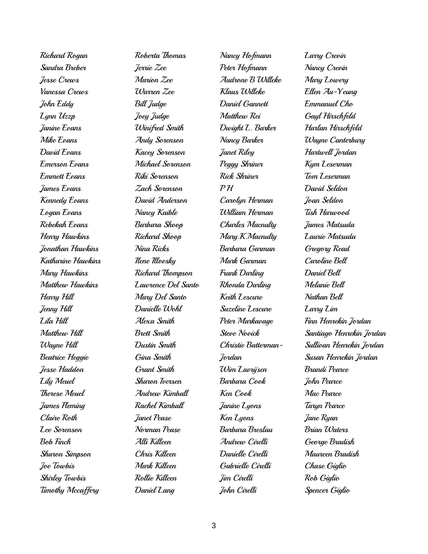Richard Rogan Sandra Breber Jesse Crews Vanessa Crews John Eddy Lynn Uzzp Janine Evans Mike Evans David Evans Emerson Evans Emmett Evans James Evans Kennedy Evans Logan Evans Rebekah Evans Henry Hawkins Jonathan Hawkins Katharine Hawkins Mary Hawkins Matthew Hawkins Henry Hill Jenny Hill Lila Hill Matthew Hill Wayne Hill Beatrice Heggie Jesse Haddon Lily Meuel Therese Meuel James Fleming Claire Roth Lee Sorenson Bob Finch Sharon Simpson Joe Towbis Shirley Towbis Timothy Mccaffery

Roberta Thomas Jerrie Zee Marion Zee Warren Zee Bill Judge Joey Judge Winifred Smith Andy Sorenson Kacey Sorenson Michael Sorenson Riki Sorenson Zach Sorenson David Anderson Nancy Kaible Barbara Shoop Richard Shoop Nina Ricks Ilene Illovsky Richard Thompson Lawrence Del Santo Mary Del Santo Danielle Wohl Alexa Smith Brett Smith Dustin Smith Gina Smith Grant Smith Sharon Iversen Andrew Kimball Rachel Kimball Janet Pease Norman Pease Alli Killeen Chris Killeen Mark Killeen Rollie Killeen Daniel Lang

Nancy Hofmann Peter Hofmann Audrone B Willeke Klaus Willeke Daniel Gannett Matthew Rei Dwight L. Barker Nancy Barker Janet Riley Peggy Shriner Rick Shriner  $\mathcal{P}$  $\mathcal{H}$ Carolyn Herman William Herman Charles Macnulty Mary.K.Macnulty Barbara Garman Mark Garman Frank Darling Rhonda Darling Keith Lescure Suzeline Lescure Peter Markavage Steve Novick Christie Batterman-Jordan Wim Lavrijsen Barbara Cook Ken Cook Janine Lyons Ken Lyons Barbara Breslau Andrew Cirelli Danielle Cirelli Gabrielle Cirelli Jim Cirelli John Cirelli

Larry Crevin Nancy Crevin Mary Lowery Ellen Au-Yeung Emmanuel Cho Gayl Hirschfeld Harlan Hirschfeld Wayne Canterbury Hartwell Jordan Kym Leserman Tom Leserman David Seldon Joan Seldon Tish Harwood James Matsuda Laurie Matsuda Gregory Read Caroline Bell Daniel Bell Melanie Bell Nathan Bell Larry Lim Finn Henrekin Jordan Santiago Henrekin Jordan Sullivan Henrekin Jordan Susan Henrekin Jordan Brandi Pearce John Pearce Mac Pearce Tarun Pearce Jane Ryan Brian Waters George Bradish Maureen Bradish Chase Giglio Rob Giglio Spencer Giglio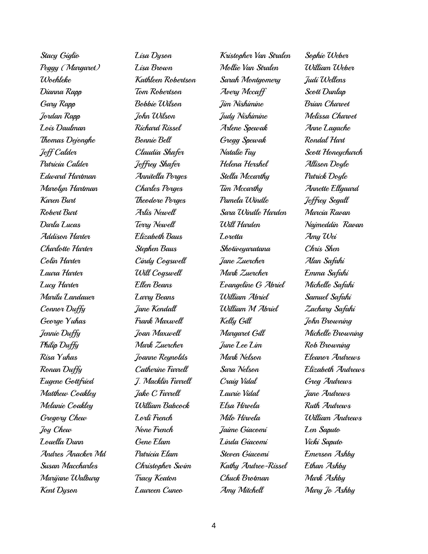Stacy Giglio Peggy (Margaret) Woehleke Dianna Rapp Gary Rapp Jordan Rapp Lois Daulman Thomas Dejonghe Jeff Calder Patricia Calder Edward Hartman Marolyn Hartman Karen Burt Robert Burt Darla Lucas Addison Harter Charlotte Harter Colin Harter Laura Harter Lucy Harter Marilu Landauer Connor Duffy George Yuhas Jennie Duffy Philip Duffy Risa Yuhas Ronan Duffy Eugene Gottfried Matthew Coakley Melanie Coakley Gregory Chew Joy Chew Louella Dunn Andres Anacker Md Susan Maccharles Marijane Walburg Kent Dyson

Lisa Dyson Lisa Brown Kathleen Robertson Tom Robertson Bobbie Wilson John Wilson Richard Rissel Bonnie Bell Claudia Shafer Jeffrey Shafer Annitella Porges Charles Porges Theodore Porges Arlis Newell Terry Newell Elizabeth Baus Stephen Baus Cindy Cogswell Will Cogswell Ellen Beans Larry Beans Jane Kendall Frank Maxwell Joan Maxwell Mark Zuercher Joanne Reynolds Catherine Farrell J. Macklin Farrell Jake C Farrell William Babcock Lorli French None French Gene Elam Patricia Elam Christopher Swim Tracy Keaton Laureen Cuneo

Kristopher Van Stralen Mollie Van Stralen Sarah Montgomery Avery Mccaff Jim Nishimine Judy Nishimine Arlene Spewak Gregg Spewak Natalie Fay Helena Hershel Stella Mccarthy Tim Mccarthy Pamela Windle Sara Windle Harden Will Harden Loretta Shotiveyaratana Jane Zuercher Mark Zuercher Evangeline G Abriel William Abriel William M Abriel Kelly Gill Margaret Gill June Lee Lim Mark Nelson Sara Nelson Craig Vidal Laurie Vidal Elsa Hirvela Milo Hirvela Jaime Giacomi Linda Giacomi Steven Giacomi Kathy Andree-Rissel Chuck Brotman Amy Mitchell

Sophie Weber William Weber Judi Wellens Scott Dunlap Brian Charvet Melissa Charvet Anne Lagache Rondal Hart Scott Honeychurch Allison Doyle Patrick Doyle Annette Ellgaard Jeffrey Segall Marcia Ravan Najmeddin Ravan Amy Wei Chris Shen Alan Safahi Emma Safahi Michelle Safahi Samuel Safahi Zachary Safahi John Browning Michelle Browning Rob Browning Eleanor Andrews Elizabeth Andrews Greg Andrews Jane Andrews Ruth Andrews William Andrews Len Saputo Vicki Saputo Emerson Ashby Ethan Ashby Mark Ashby Mary Jo Ashby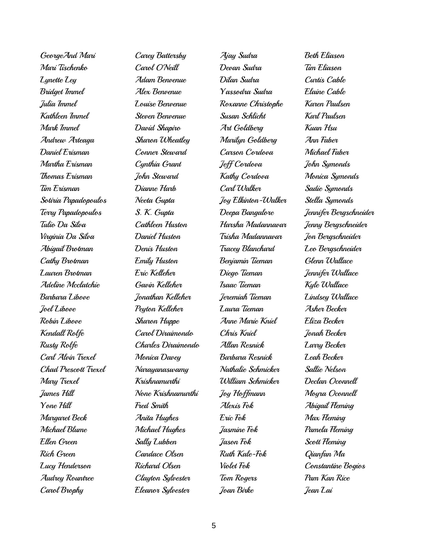| GeorgeAnd Mari       |
|----------------------|
| Mari Tischenko       |
| Lynette Ley          |
| <b>Bridget Immel</b> |
| Julia Immel          |
| Kathleen Immel       |
| Mark Immel           |
| Andrew Arteaga       |
| Daniel Erisman       |
| Martha Erisman       |
| Thomas Erisman       |
| Tim Erisman          |
| Sotiria Papadopoulos |
| Terry Papadopoulos   |
| Tulio Da Silva       |
| Virginia Da Silva    |
| Abigail Brotman      |
| Cathy Brotman        |
| Lauren Brotman       |
| Adeline Mcclatchie   |
| Barbara Libove       |
| Joel Libove          |
| Robin Libove         |
| Kendall Rolfe        |
| Rusty Rolfe          |
| Carl Alvin Trexel    |
| Chad Prescott Trexel |
| Mary Trexel          |
| James Hill           |
| Yone Hill            |
| Margaret Beck        |
| Michael Blume        |
| Ellen Green          |
| Rich Green           |
| Lucy Henderson       |
|                      |
| Audrey Rountree      |

Carey Battersby Carol O'Neill Adam Benvenue Alex Benvenue Louise Benvenue Steven Benvenue David Shapiro Sharon Wheatley Conner Steward Cynthia Grant John Steward Dianne Harb Neeta Gupta S. K. Gupta Cathleen Huston Daniel Huston Denis Huston Emily Huston Eric Kelleher Gavin Kelleher Jonathan Kelleher Peyton Kelleher Sharon Huppe Carol Diraimondo Charles Diraimondo Monica Davey Narayanaswamy Krishnamurthi None Krishnamurthi Fred Smith Anita Hughes Michael Hughes Sally Lubben Candace Olsen Richard Olsen Clayton Sylvester Eleanor Sylvester

Ajay Sudra Devan Sudra Dilan Sudra Yassodra Sudra Roxanne Christophe Susan Schlicht Art Goldberg Marilyn Goldberg Carson Cordova Jeff Cordova Kathy Cordova Carl Walker Joy Elkinton-Walker Deepa Bangalore Harsha Madannavar Trisha Madannavar Tracey Blanchard Benjamin Tieman Diego Tieman Isaac Tieman Jeremiah Tieman Laura Tieman Anne Marie Kniel Chris Kniel Allan Resnick Barbara Resnick Nathalie Schmicker William Schmicker Joy Hoffmann Alexis Fok Eric Fok Jasmine Fok Jason Fok Ruth Kale-Fok Violet Fok Tom Rogers Joan Birke

Beth Eliason Tim Eliason Curtis Cable Elaine Cable Karen Paulsen Karl Paulsen Kuan Hsu Ann Faber Michael Faber John Symonds Monica Symonds Sadie Symonds Stella Symonds Jennifer Bergschneider Jenny Bergschneider Jon Bergschneider Leo Bergschneider Glenn Wallace Jennifer Wallace Kyle Wallace Lindsey Wallace Asher Becker Eliza Becker Jonah Becker Larry Becker Leah Becker Sallie Nelson Declan Oconnell Moyra Oconnell Abigail Fleming Max Fleming Pamela Fleming Scott Fleming Qianfan Ma Constantine Bogios Pam Kan Rice Jean Lai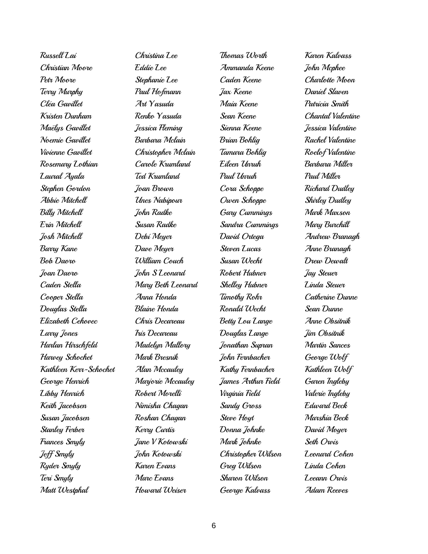Russell Lai Christian Moore Petr Moore Terry Murphy Cléa Gavillet Kristen Dunham Maëlys Gavillet Noemie Gavillet Vivienne Gavillet Rosemary Lothian Laural Ayala Stephen Gordon Abbie Mitchell Billy Mitchell Erin Mitchell Josh Mitchell Barry Kane Bob Daoro Joan Daoro Caden Stella Cooper Stella Douglas Stella Elizabeth Cehovec Larry Jones Harlan Hirschfeld Harvey Schochet Kathleen Kerr-Schochet George Henrich Libby Henrich Keith Jacobsen Susan Jacobsen Stanley Ferber Frances Smyly Jeff Smyly Ryder Smyly Teri Smyly Matt Westphal

Christina Lee Eddie Lee Stephanie Lee Paul Hofmann Art Yasuda Renko Yasuda Jessica Fleming Barbara Mclain Christopher Mclain Carole Krumland Ted Krumland Joan Brown Unes Nabipour John Radke Susan Radke Debi Meyer Dave Meyer William Couch John S Leonard Mary Beth Leonard Anna Honda Blaine Honda Chris Decareau Iris Decareau Madelyn Mallory Mark Bresnik Alan Mccauley Marjorie Mccauley Robert Morelli Nimisha Chagan Roshan Chagan Kerry Curtis Jane V Kotowski John Kotowski Karen Evans Marc Evans Howard Weiser

Thomas Worth Ammanda Keene Caden Keene Jax Keene Maia Keene Sean Keene Sienna Keene Brian Bohlig Tamara Bohlig Eileen Unruh Paul Unruh Cora Schoppe Owen Schoppe Gary Cummings Sandra Cummings David Ortega Steven Lucas Susan Wecht Robert Hubner Shelley Hubner Timothy Rohr Ronald Wecht Betty Lou Lange Douglas Lange Jonathan Supran John Fernbacher Kathy Fernbacher James Arthur Field Virginia Field Sandy Gross Steve Hoyt Donna Johnke Mark Johnke Christopher Wilson Greg Wilson Sharon Wilson George Kalvass

Karen Kalvass John Mcphee Charlotte Moon Daniel Slaven Patricia Smith Chantal Valentine Jessica Valentine Rachel Valentine Roelof Valentine Barbara Miller Paul Miller Richard Dudley Shirley Dudley Mark Maxson Mary Burchill Andrew Branagh Anne Branagh Drew Dewalt Jay Steuer Linda Steuer Catherine Dunne Sean Dunne Anne Obsitnik Jim Obsitnik Martin Sances George Wolf Kathleen Wolf Garen Ingleby Valerie Ingleby Edward Beck Marshia Beck David Moyer Seth Orvis Leonard Cohen Linda Cohen Leeann Orvis Adam Reeves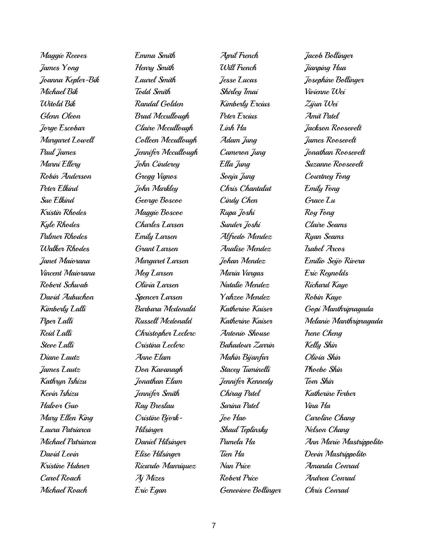Maggie Reeves James Yong Joanna Kepler-Bik Michael Bik Witold Bik Glenn Oleon Jorge Escobar Margaret Lowell Paul James Marni Ellery Robin Anderson Peter Elkind Sue Elkind Kristin Rhodes Kyle Rhodes Palmer Rhodes Walker Rhodes Janet Maiorana Vincent Maiorana Robert Schwab David Aubuchon Kimberly Lalli Piper Lalli Reid Lalli Steve Lalli Diane Lautz James Lautz Kathryn Ishizu Kevin Ishizu Halvor Guo Mary Ellen King Laura Patriarca Michael Patriarca David Levin Kristine Hubner Carol Roach Michael Roach

Emma Smith Henry Smith Laurel Smith Todd Smith Randal Golden Brad Mccullough Claire Mccullough Colleen Mccullough Jennifer Mccullough John Cinderey Gregg Vignos John Markley George Boscoe Maggie Boscoe Charles Larsen Emily Larsen Grant Larsen Margaret Larsen Meg Larsen Olivia Larsen Spencer Larsen Barbara Mcdonald Russell Mcdonald Christopher Leclerc Cristina Leclerc Anne Elam Don Kavanagh Jonathan Elam Jennifer Smith Ray Breslau Cristine Bjork-Hilsinger Daniel Hilsinger Elise Hilsinger Ricardo Manriquez Aj Mizes Eric Egan

April French Will French Jesse Lucas Shirley Imai Kimberly Ercius Peter Ercius Linh Ha Adam Jung Cameron Jung Ella Jung Sonja Jung Chris Chantalat Cindy Chen Rupa Joshi Sunder Joshi Alfredo Mendez Analise Mendez Johan Mendez Maria Vargas Natalie Mendez Yahzee Mendez Katherine Kaiser Katherine Kaiser Antonio Shouse Bahadour Zarrin Mahin Bijanfar Stacey Tuminelli Jennifer Kennedy Chirag Patel Sarina Patel Joe Hao Shaul Teplinsky Pamela Ha Tien Ha Nan Price Robert Price Genevieve Bollinger Jacob Bollinger Jianping Hua Josephine Bollinger Vivienne Wei Zijun Wei Amit Patel Jackson Roosevelt James Roosevelt Jonathan Roosevelt Suzanne Roosevelt Courtney Fong Emily Fong Grace Lu Roy Fong Claire Seams Ryan Seams Isabel Arcos Emilio Seijo Rivera Eric Reynolds Richard Kaye Robin Kaye Gopi Manthripragada Melanie Manthripragada Irene Cheng Kelly Shin Olivia Shin Phoebe Shin Tom Shin Katherine Ferber Vina Ha Caroline Chang Nelson Chang Ann Marie Mastrippolito Devin Mastrippolito Amanda Conrad Andrea Conrad Chris Conrad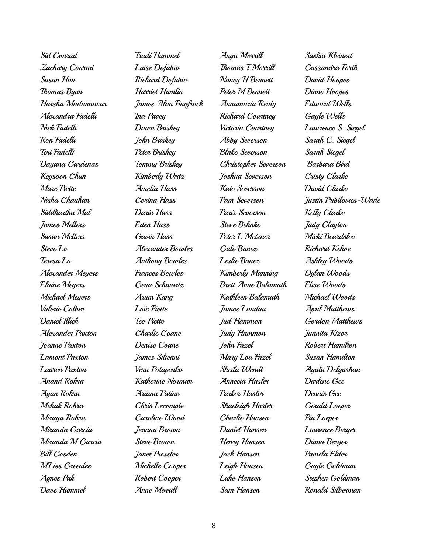Sid Conrad Zachary Conrad Susan Han Thomas Byun Harsha Madannavar Alexandra Fadelli Nick Fadelli Ron Fadelli Teri Fadelli Dayana Cardenas Keysoon Chun Marc Piette Nisha Chauhan Siddhartha Mal James Mellers Susan Mellers Steve Lo Teresa Lo Alexander Meyers Elaine Meyers Michael Meyers Valerie Colber Daniel Illich Alexander Paxton Joanne Paxton Lamont Paxton Lauren Paxton Anand Rohra Ayan Rohra Mehak Rohra Miraya Rohra Miranda Garcia Miranda M Garcia Bill Cosden M'Liss Greenlee Agnes Pak Dave Hummel

Trudi Hummel Luise Defabio Richard Defabio Harriet Hamlin James Alan Finefrock Ina Pavey Dawn Briskey John Briskey Peter Briskey Tommy Briskey Kimberly Wirtz Amelia Hass Corina Hass Darin Hass Eden Hass Gavin Hass Alexander Bowles Anthony Bowles Frances Bowles Gena Schwartz Arum Kang Loïc Piette Teo Piette Charlie Coane Denise Coane James Silicani Vera Potapenko Katherine Norman Ariana Patino Chris Lecompte Caroline Wood Jeanna Brown Steve Brown Janet Pressler Michelle Cooper Robert Cooper Anne Morrill

Anya Morrill Thomas T Morrill Nancy H Bennett Peter M Bennett Annamaria Reidy Richard Courtney Victoria Courtney Abby Severson Blake Severson Christopher Severson Joshua Severson Kate Severson Pam Severson Paris Severson Steve Behnke Peter E Metzner Gale Banez Leslie Banez Kimberly Manning Brett Anne Balamuth Kathleen Balamuth James Landau Jud Hammon Judy Hammon John Fazel Mary Lou Fazel Sheila Wendt Annecia Hasler Parker Hasler Shaeleigh Hasler Charlie Hansen Daniel Hansen Henry Hansen Jack Hansen Leigh Hansen Luke Hansen Sam Hansen

Saskia Kleinert Cassandra Forth David Hoopes Diane Hoopes Edward Wells Gayle Wells Lawrence S. Siegel Sarah C. Siegel Sarah Siegel Barbara Bird Cristy Clarke David Clarke Justin Pribilovics-Wade Kelly Clarke Judy Clayton Micki Beardslee Richard Kehoe Ashley Woods Dylan Woods Elise Woods Michael Woods April Matthews Gordon Matthews Juanita Kizor Robert Hamilton Susan Hamilton Ayala Delgushan Darlene Gee Dennis Gee Gerald Loeper Pia Loeper Laurence Berger Diana Berger Pamela Elder Gayle Goldman Stephen Goldman Ronald Silberman